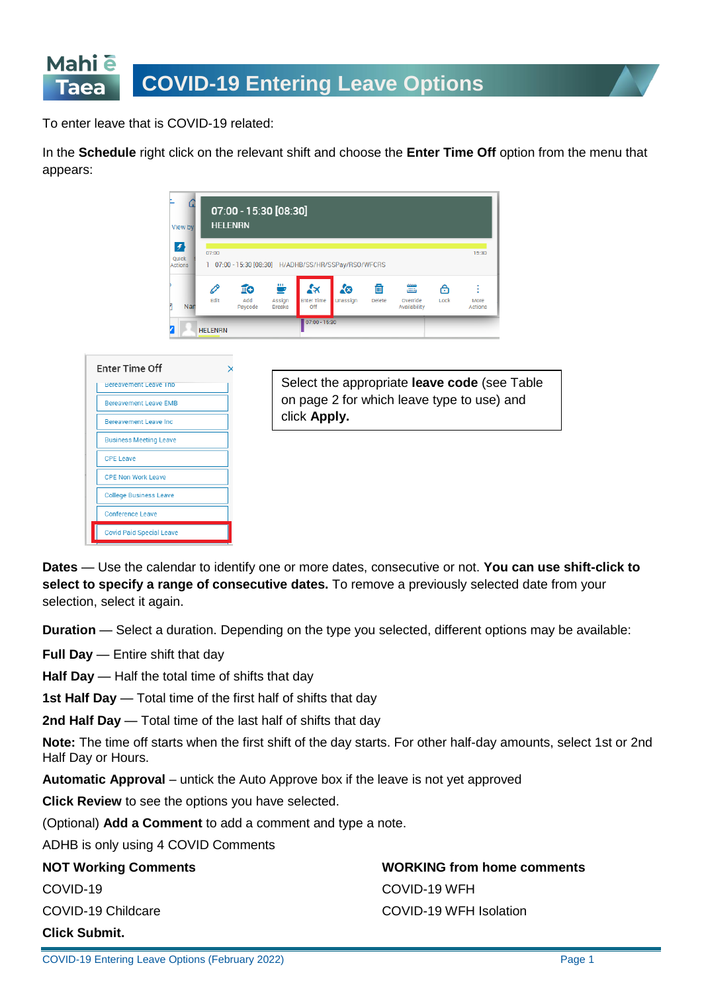

To enter leave that is COVID-19 related:

In the **Schedule** right click on the relevant shift and choose the **Enter Time Off** option from the menu that appears:

| ſ.<br>View by                                                                                                  | 07:00 - 15:30 [08:30]<br><b>HELENRN</b> |                      |                              |                                        |                |               |                                |           |                        |  |
|----------------------------------------------------------------------------------------------------------------|-----------------------------------------|----------------------|------------------------------|----------------------------------------|----------------|---------------|--------------------------------|-----------|------------------------|--|
| $\vert f \vert$<br>07:00<br>Quick<br>07:00 - 15:30 [08:30] H/ADHB/SS/HR/SSPay/RSO/WFCRS<br>ı<br><b>Actions</b> |                                         |                      |                              |                                        |                |               |                                |           | 15:30                  |  |
| Nar                                                                                                            | 0<br>Edit                               | IΘ<br>Add<br>Paycode | ⋓<br>Assign<br><b>Breaks</b> | $x \times$<br><b>Enter Time</b><br>Off | Δ®<br>Unassign | fii<br>Delete | بس<br>Override<br>Availability | А<br>Lock | More<br><b>Actions</b> |  |
|                                                                                                                | <b>HELENRN</b>                          |                      |                              | $07:00 - 15:30$                        |                |               |                                |           |                        |  |



Select the appropriate **leave code** (see Table on page 2 for which leave type to use) and click **Apply.**

**Dates** — Use the calendar to identify one or more dates, consecutive or not. **You can use shift-click to select to specify a range of consecutive dates.** To remove a previously selected date from your selection, select it again.

**Duration** — Select a duration. Depending on the type you selected, different options may be available:

**Full Day** — Entire shift that day

**Half Day** — Half the total time of shifts that day

**1st Half Day** — Total time of the first half of shifts that day

**2nd Half Day** — Total time of the last half of shifts that day

**Note:** The time off starts when the first shift of the day starts. For other half-day amounts, select 1st or 2nd Half Day or Hours.

**Automatic Approval** – untick the Auto Approve box if the leave is not yet approved

**Click Review** to see the options you have selected.

(Optional) **Add a Comment** to add a comment and type a note.

ADHB is only using 4 COVID Comments

| <b>NOT Working Comments</b> | <b>WORKING from home comments</b> |
|-----------------------------|-----------------------------------|
| COVID-19                    | COVID-19 WFH                      |
| COVID-19 Childcare          | COVID-19 WFH Isolation            |
| <b>Click Submit.</b>        |                                   |